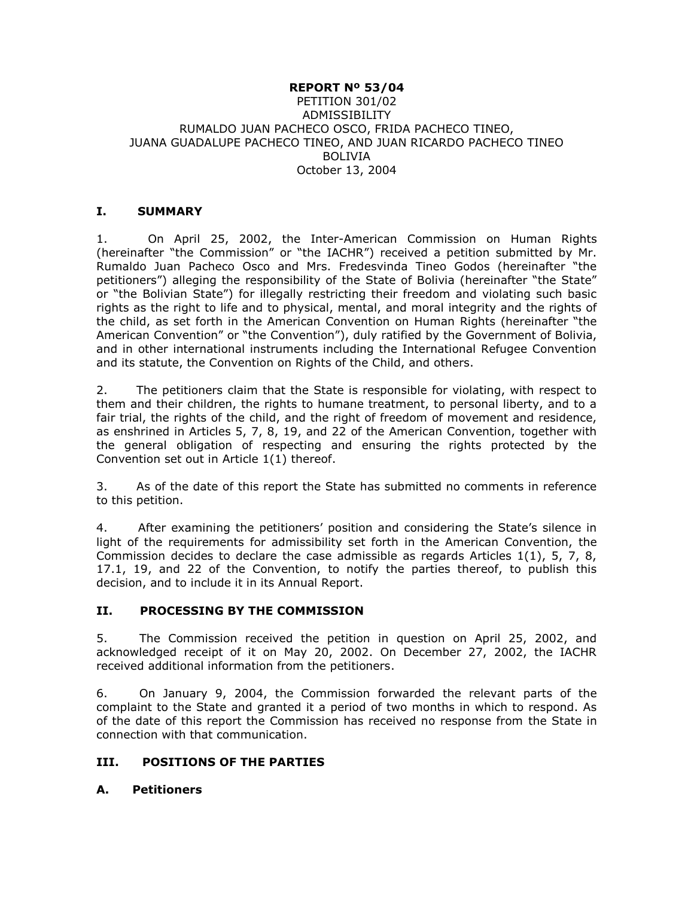#### **REPORT Nº 53/04** PETITION 301/02 ADMISSIBILITY RUMALDO JUAN PACHECO OSCO, FRIDA PACHECO TINEO, JUANA GUADALUPE PACHECO TINEO, AND JUAN RICARDO PACHECO TINEO BOLIVIA October 13, 2004

#### **I. SUMMARY**

1. On April 25, 2002, the Inter-American Commission on Human Rights (hereinafter "the Commission" or "the IACHR") received a petition submitted by Mr. Rumaldo Juan Pacheco Osco and Mrs. Fredesvinda Tineo Godos (hereinafter "the petitioners") alleging the responsibility of the State of Bolivia (hereinafter "the State" or "the Bolivian State") for illegally restricting their freedom and violating such basic rights as the right to life and to physical, mental, and moral integrity and the rights of the child, as set forth in the American Convention on Human Rights (hereinafter "the American Convention" or "the Convention"), duly ratified by the Government of Bolivia, and in other international instruments including the International Refugee Convention and its statute, the Convention on Rights of the Child, and others.

2. The petitioners claim that the State is responsible for violating, with respect to them and their children, the rights to humane treatment, to personal liberty, and to a fair trial, the rights of the child, and the right of freedom of movement and residence, as enshrined in Articles 5, 7, 8, 19, and 22 of the American Convention, together with the general obligation of respecting and ensuring the rights protected by the Convention set out in Article 1(1) thereof.

3. As of the date of this report the State has submitted no comments in reference to this petition.

4. After examining the petitioners' position and considering the State's silence in light of the requirements for admissibility set forth in the American Convention, the Commission decides to declare the case admissible as regards Articles 1(1), 5, 7, 8, 17.1, 19, and 22 of the Convention, to notify the parties thereof, to publish this decision, and to include it in its Annual Report.

## **II. PROCESSING BY THE COMMISSION**

5. The Commission received the petition in question on April 25, 2002, and acknowledged receipt of it on May 20, 2002. On December 27, 2002, the IACHR received additional information from the petitioners.

6. On January 9, 2004, the Commission forwarded the relevant parts of the complaint to the State and granted it a period of two months in which to respond. As of the date of this report the Commission has received no response from the State in connection with that communication.

## **III. POSITIONS OF THE PARTIES**

#### **A. Petitioners**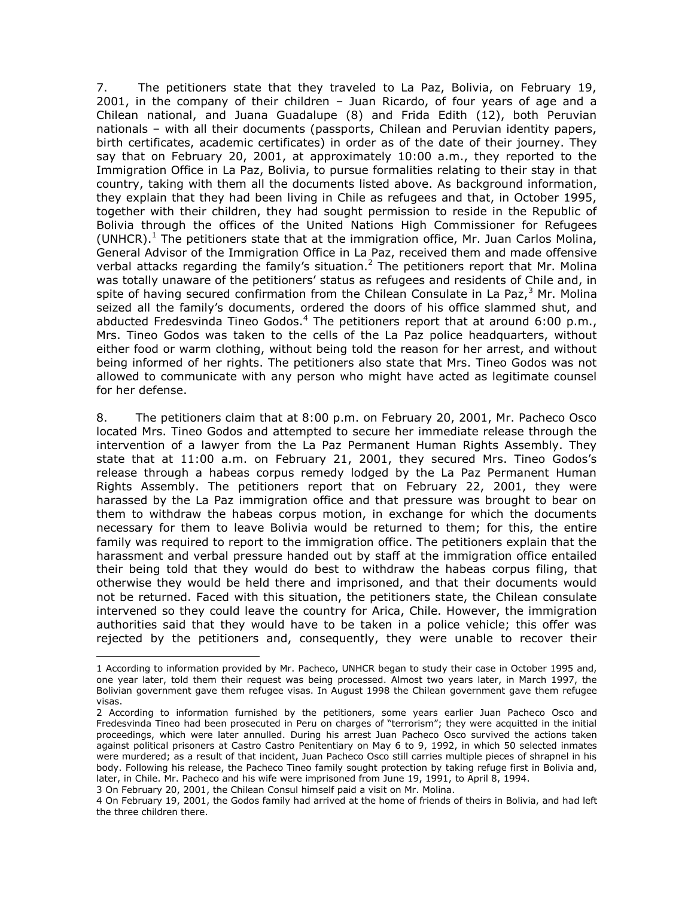7. The petitioners state that they traveled to La Paz, Bolivia, on February 19, 2001, in the company of their children – Juan Ricardo, of four years of age and a Chilean national, and Juana Guadalupe (8) and Frida Edith (12), both Peruvian nationals – with all their documents (passports, Chilean and Peruvian identity papers, birth certificates, academic certificates) in order as of the date of their journey. They say that on February 20, 2001, at approximately 10:00 a.m., they reported to the Immigration Office in La Paz, Bolivia, to pursue formalities relating to their stay in that country, taking with them all the documents listed above. As background information, they explain that they had been living in Chile as refugees and that, in October 1995, together with their children, they had sought permission to reside in the Republic of Bolivia through the offices of the United Nations High Commissioner for Refugees (UNHCR).<sup>1</sup> The petitioners state that at the immigration office, Mr. Juan Carlos Molina, General Advisor of the Immigration Office in La Paz, received them and made offensive verbal attacks regarding the family's situation.<sup>2</sup> The petitioners report that Mr. Molina was totally unaware of the petitioners' status as refugees and residents of Chile and, in spite of having secured confirmation from the Chilean Consulate in La Paz, $3$  Mr. Molina seized all the family's documents, ordered the doors of his office slammed shut, and abducted Fredesvinda Tineo Godos.<sup>4</sup> The petitioners report that at around 6:00 p.m., Mrs. Tineo Godos was taken to the cells of the La Paz police headquarters, without either food or warm clothing, without being told the reason for her arrest, and without being informed of her rights. The petitioners also state that Mrs. Tineo Godos was not allowed to communicate with any person who might have acted as legitimate counsel for her defense.

8. The petitioners claim that at 8:00 p.m. on February 20, 2001, Mr. Pacheco Osco located Mrs. Tineo Godos and attempted to secure her immediate release through the intervention of a lawyer from the La Paz Permanent Human Rights Assembly. They state that at 11:00 a.m. on February 21, 2001, they secured Mrs. Tineo Godos's release through a habeas corpus remedy lodged by the La Paz Permanent Human Rights Assembly. The petitioners report that on February 22, 2001, they were harassed by the La Paz immigration office and that pressure was brought to bear on them to withdraw the habeas corpus motion, in exchange for which the documents necessary for them to leave Bolivia would be returned to them; for this, the entire family was required to report to the immigration office. The petitioners explain that the harassment and verbal pressure handed out by staff at the immigration office entailed their being told that they would do best to withdraw the habeas corpus filing, that otherwise they would be held there and imprisoned, and that their documents would not be returned. Faced with this situation, the petitioners state, the Chilean consulate intervened so they could leave the country for Arica, Chile. However, the immigration authorities said that they would have to be taken in a police vehicle; this offer was rejected by the petitioners and, consequently, they were unable to recover their

3 On February 20, 2001, the Chilean Consul himself paid a visit on Mr. Molina.

 $\overline{a}$ 

<sup>1</sup> According to information provided by Mr. Pacheco, UNHCR began to study their case in October 1995 and, one year later, told them their request was being processed. Almost two years later, in March 1997, the Bolivian government gave them refugee visas. In August 1998 the Chilean government gave them refugee visas.

<sup>2</sup> According to information furnished by the petitioners, some years earlier Juan Pacheco Osco and Fredesvinda Tineo had been prosecuted in Peru on charges of "terrorism"; they were acquitted in the initial proceedings, which were later annulled. During his arrest Juan Pacheco Osco survived the actions taken against political prisoners at Castro Castro Penitentiary on May 6 to 9, 1992, in which 50 selected inmates were murdered; as a result of that incident, Juan Pacheco Osco still carries multiple pieces of shrapnel in his body. Following his release, the Pacheco Tineo family sought protection by taking refuge first in Bolivia and, later, in Chile. Mr. Pacheco and his wife were imprisoned from June 19, 1991, to April 8, 1994.

<sup>4</sup> On February 19, 2001, the Godos family had arrived at the home of friends of theirs in Bolivia, and had left the three children there.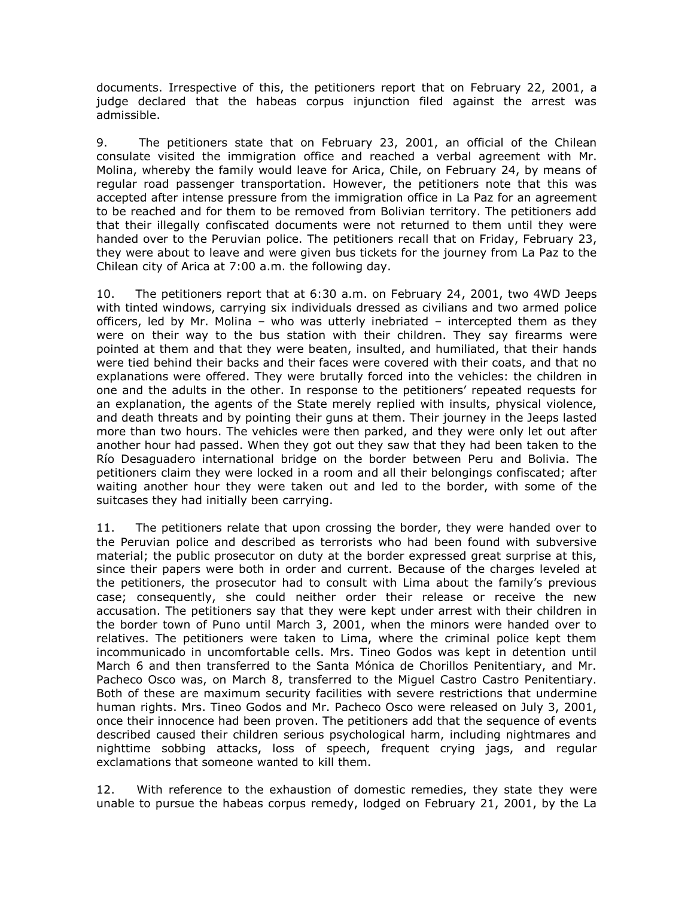documents. Irrespective of this, the petitioners report that on February 22, 2001, a judge declared that the habeas corpus injunction filed against the arrest was admissible.

9. The petitioners state that on February 23, 2001, an official of the Chilean consulate visited the immigration office and reached a verbal agreement with Mr. Molina, whereby the family would leave for Arica, Chile, on February 24, by means of regular road passenger transportation. However, the petitioners note that this was accepted after intense pressure from the immigration office in La Paz for an agreement to be reached and for them to be removed from Bolivian territory. The petitioners add that their illegally confiscated documents were not returned to them until they were handed over to the Peruvian police. The petitioners recall that on Friday, February 23, they were about to leave and were given bus tickets for the journey from La Paz to the Chilean city of Arica at 7:00 a.m. the following day.

10. The petitioners report that at 6:30 a.m. on February 24, 2001, two 4WD Jeeps with tinted windows, carrying six individuals dressed as civilians and two armed police officers, led by Mr. Molina – who was utterly inebriated – intercepted them as they were on their way to the bus station with their children. They say firearms were pointed at them and that they were beaten, insulted, and humiliated, that their hands were tied behind their backs and their faces were covered with their coats, and that no explanations were offered. They were brutally forced into the vehicles: the children in one and the adults in the other. In response to the petitioners' repeated requests for an explanation, the agents of the State merely replied with insults, physical violence, and death threats and by pointing their guns at them. Their journey in the Jeeps lasted more than two hours. The vehicles were then parked, and they were only let out after another hour had passed. When they got out they saw that they had been taken to the Río Desaguadero international bridge on the border between Peru and Bolivia. The petitioners claim they were locked in a room and all their belongings confiscated; after waiting another hour they were taken out and led to the border, with some of the suitcases they had initially been carrying.

11. The petitioners relate that upon crossing the border, they were handed over to the Peruvian police and described as terrorists who had been found with subversive material; the public prosecutor on duty at the border expressed great surprise at this, since their papers were both in order and current. Because of the charges leveled at the petitioners, the prosecutor had to consult with Lima about the family's previous case; consequently, she could neither order their release or receive the new accusation. The petitioners say that they were kept under arrest with their children in the border town of Puno until March 3, 2001, when the minors were handed over to relatives. The petitioners were taken to Lima, where the criminal police kept them incommunicado in uncomfortable cells. Mrs. Tineo Godos was kept in detention until March 6 and then transferred to the Santa Mónica de Chorillos Penitentiary, and Mr. Pacheco Osco was, on March 8, transferred to the Miguel Castro Castro Penitentiary. Both of these are maximum security facilities with severe restrictions that undermine human rights. Mrs. Tineo Godos and Mr. Pacheco Osco were released on July 3, 2001, once their innocence had been proven. The petitioners add that the sequence of events described caused their children serious psychological harm, including nightmares and nighttime sobbing attacks, loss of speech, frequent crying jags, and regular exclamations that someone wanted to kill them.

12. With reference to the exhaustion of domestic remedies, they state they were unable to pursue the habeas corpus remedy, lodged on February 21, 2001, by the La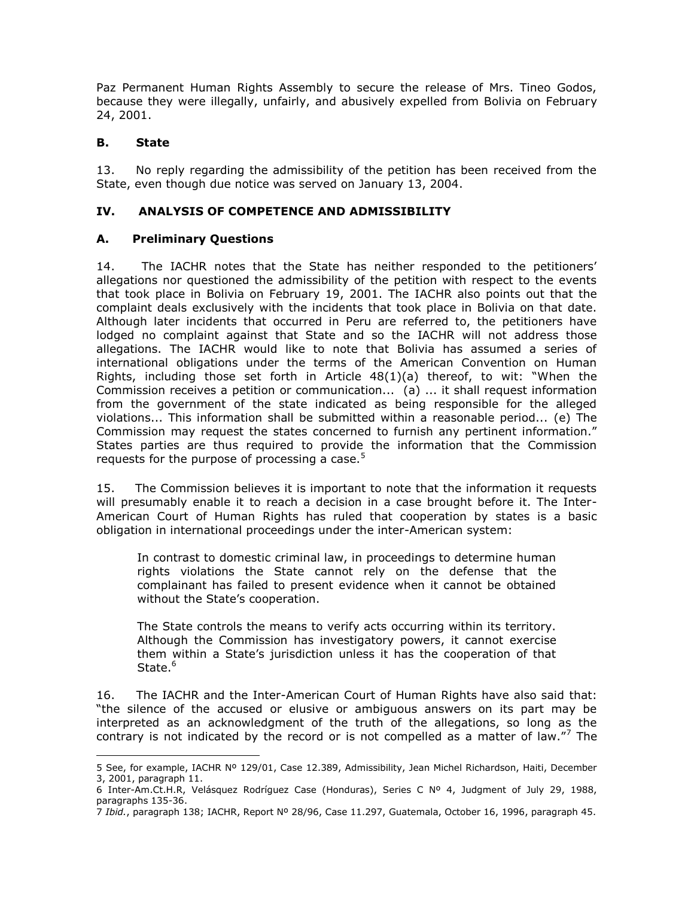Paz Permanent Human Rights Assembly to secure the release of Mrs. Tineo Godos, because they were illegally, unfairly, and abusively expelled from Bolivia on February 24, 2001.

#### **B. State**

 $\overline{a}$ 

13. No reply regarding the admissibility of the petition has been received from the State, even though due notice was served on January 13, 2004.

#### **IV. ANALYSIS OF COMPETENCE AND ADMISSIBILITY**

#### **A. Preliminary Questions**

14. The IACHR notes that the State has neither responded to the petitioners' allegations nor questioned the admissibility of the petition with respect to the events that took place in Bolivia on February 19, 2001. The IACHR also points out that the complaint deals exclusively with the incidents that took place in Bolivia on that date. Although later incidents that occurred in Peru are referred to, the petitioners have lodged no complaint against that State and so the IACHR will not address those allegations. The IACHR would like to note that Bolivia has assumed a series of international obligations under the terms of the American Convention on Human Rights, including those set forth in Article  $48(1)(a)$  thereof, to wit: "When the Commission receives a petition or communication... (a) ... it shall request information from the government of the state indicated as being responsible for the alleged violations... This information shall be submitted within a reasonable period... (e) The Commission may request the states concerned to furnish any pertinent information." States parties are thus required to provide the information that the Commission requests for the purpose of processing a case. $5$ 

15. The Commission believes it is important to note that the information it requests will presumably enable it to reach a decision in a case brought before it. The Inter-American Court of Human Rights has ruled that cooperation by states is a basic obligation in international proceedings under the inter-American system:

In contrast to domestic criminal law, in proceedings to determine human rights violations the State cannot rely on the defense that the complainant has failed to present evidence when it cannot be obtained without the State's cooperation.

The State controls the means to verify acts occurring within its territory. Although the Commission has investigatory powers, it cannot exercise them within a State's jurisdiction unless it has the cooperation of that State.<sup>6</sup>

16. The IACHR and the Inter-American Court of Human Rights have also said that: "the silence of the accused or elusive or ambiguous answers on its part may be interpreted as an acknowledgment of the truth of the allegations, so long as the contrary is not indicated by the record or is not compelled as a matter of law."<sup>7</sup> The

<sup>5</sup> See, for example, IACHR Nº 129/01, Case 12.389, Admissibility, Jean Michel Richardson, Haiti, December 3, 2001, paragraph 11.

<sup>6</sup> Inter-Am.Ct.H.R, Velásquez Rodríguez Case (Honduras), Series C Nº 4, Judgment of July 29, 1988, paragraphs 135-36.

<sup>7</sup> *Ibid.*, paragraph 138; IACHR, Report Nº 28/96, Case 11.297, Guatemala, October 16, 1996, paragraph 45.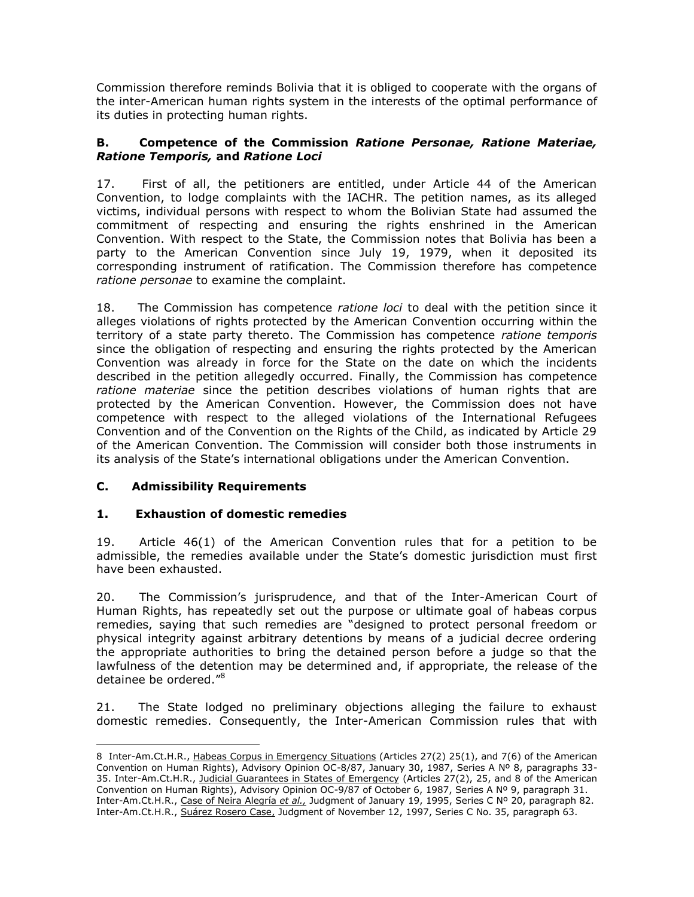Commission therefore reminds Bolivia that it is obliged to cooperate with the organs of the inter-American human rights system in the interests of the optimal performance of its duties in protecting human rights.

#### **B. Competence of the Commission** *Ratione Personae, Ratione Materiae, Ratione Temporis,* **and** *Ratione Loci*

17. First of all, the petitioners are entitled, under Article 44 of the American Convention, to lodge complaints with the IACHR. The petition names, as its alleged victims, individual persons with respect to whom the Bolivian State had assumed the commitment of respecting and ensuring the rights enshrined in the American Convention. With respect to the State, the Commission notes that Bolivia has been a party to the American Convention since July 19, 1979, when it deposited its corresponding instrument of ratification. The Commission therefore has competence *ratione personae* to examine the complaint.

18. The Commission has competence *ratione loci* to deal with the petition since it alleges violations of rights protected by the American Convention occurring within the territory of a state party thereto. The Commission has competence *ratione temporis* since the obligation of respecting and ensuring the rights protected by the American Convention was already in force for the State on the date on which the incidents described in the petition allegedly occurred. Finally, the Commission has competence *ratione materiae* since the petition describes violations of human rights that are protected by the American Convention. However, the Commission does not have competence with respect to the alleged violations of the International Refugees Convention and of the Convention on the Rights of the Child, as indicated by Article 29 of the American Convention. The Commission will consider both those instruments in its analysis of the State's international obligations under the American Convention.

## **C. Admissibility Requirements**

 $\overline{a}$ 

## **1. Exhaustion of domestic remedies**

19. Article 46(1) of the American Convention rules that for a petition to be admissible, the remedies available under the State's domestic jurisdiction must first have been exhausted.

20. The Commission's jurisprudence, and that of the Inter-American Court of Human Rights, has repeatedly set out the purpose or ultimate goal of habeas corpus remedies, saying that such remedies are "designed to protect personal freedom or physical integrity against arbitrary detentions by means of a judicial decree ordering the appropriate authorities to bring the detained person before a judge so that the lawfulness of the detention may be determined and, if appropriate, the release of the detainee be ordered."<sup>8</sup>

21. The State lodged no preliminary objections alleging the failure to exhaust domestic remedies. Consequently, the Inter-American Commission rules that with

<sup>8</sup> Inter-Am.Ct.H.R., Habeas Corpus in Emergency Situations (Articles 27(2) 25(1), and 7(6) of the American Convention on Human Rights), Advisory Opinion OC-8/87, January 30, 1987, Series A Nº 8, paragraphs 33- 35. Inter-Am.Ct.H.R., Judicial Guarantees in States of Emergency (Articles 27(2), 25, and 8 of the American Convention on Human Rights), Advisory Opinion OC-9/87 of October 6, 1987, Series A Nº 9, paragraph 31. Inter-Am.Ct.H.R., Case of Neira Alegría *et al.,* Judgment of January 19, 1995, Series C Nº 20, paragraph 82. Inter-Am.Ct.H.R., Suárez Rosero Case, Judgment of November 12, 1997, Series C No. 35, paragraph 63.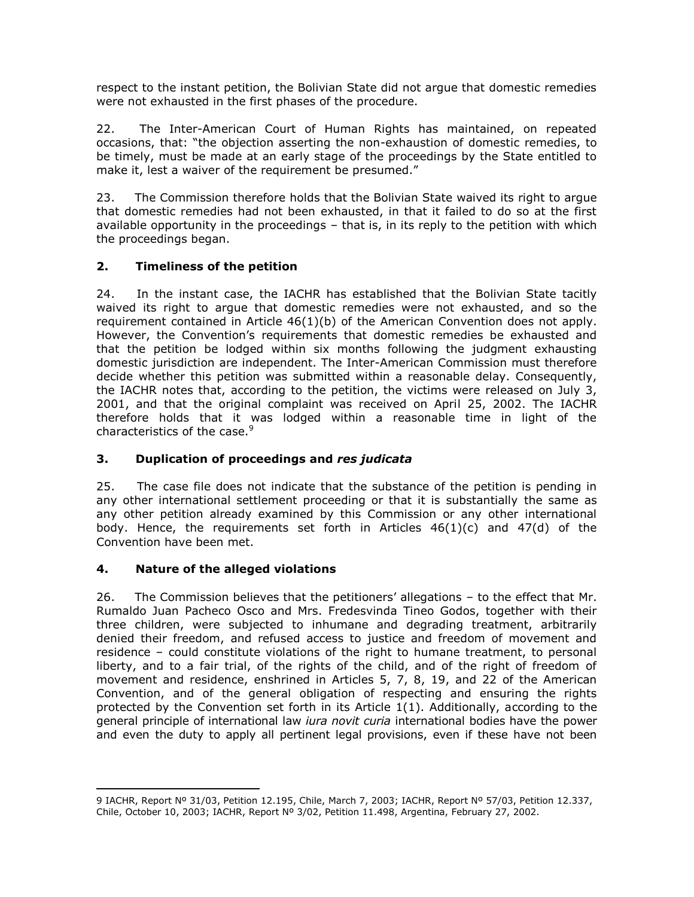respect to the instant petition, the Bolivian State did not argue that domestic remedies were not exhausted in the first phases of the procedure.

22. The Inter-American Court of Human Rights has maintained, on repeated occasions, that: "the objection asserting the non-exhaustion of domestic remedies, to be timely, must be made at an early stage of the proceedings by the State entitled to make it, lest a waiver of the requirement be presumed."

23. The Commission therefore holds that the Bolivian State waived its right to argue that domestic remedies had not been exhausted, in that it failed to do so at the first available opportunity in the proceedings – that is, in its reply to the petition with which the proceedings began.

## **2. Timeliness of the petition**

24. In the instant case, the IACHR has established that the Bolivian State tacitly waived its right to argue that domestic remedies were not exhausted, and so the requirement contained in Article  $46(1)(b)$  of the American Convention does not apply. However, the Convention's requirements that domestic remedies be exhausted and that the petition be lodged within six months following the judgment exhausting domestic jurisdiction are independent. The Inter-American Commission must therefore decide whether this petition was submitted within a reasonable delay. Consequently, the IACHR notes that, according to the petition, the victims were released on July 3, 2001, and that the original complaint was received on April 25, 2002. The IACHR therefore holds that it was lodged within a reasonable time in light of the characteristics of the case.<sup>9</sup>

## **3. Duplication of proceedings and** *res judicata*

25. The case file does not indicate that the substance of the petition is pending in any other international settlement proceeding or that it is substantially the same as any other petition already examined by this Commission or any other international body. Hence, the requirements set forth in Articles  $46(1)(c)$  and  $47(d)$  of the Convention have been met.

## **4. Nature of the alleged violations**

 $\overline{a}$ 

26. The Commission believes that the petitioners' allegations – to the effect that Mr. Rumaldo Juan Pacheco Osco and Mrs. Fredesvinda Tineo Godos, together with their three children, were subjected to inhumane and degrading treatment, arbitrarily denied their freedom, and refused access to justice and freedom of movement and residence – could constitute violations of the right to humane treatment, to personal liberty, and to a fair trial, of the rights of the child, and of the right of freedom of movement and residence, enshrined in Articles 5, 7, 8, 19, and 22 of the American Convention, and of the general obligation of respecting and ensuring the rights protected by the Convention set forth in its Article 1(1). Additionally, according to the general principle of international law *iura novit curia* international bodies have the power and even the duty to apply all pertinent legal provisions, even if these have not been

<sup>9</sup> IACHR, Report Nº 31/03, Petition 12.195, Chile, March 7, 2003; IACHR, Report Nº 57/03, Petition 12.337, Chile, October 10, 2003; IACHR, Report Nº 3/02, Petition 11.498, Argentina, February 27, 2002.